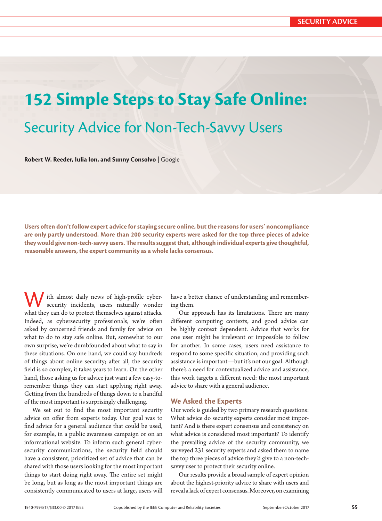# **152 Simple Steps to Stay Safe Online:**

# Security Advice for Non-Tech-Savvy Users

**Robert W. Reeder, Iulia Ion, and Sunny Consolvo |** Google

**Users often don't follow expert advice for staying secure online, but the reasons for users' noncompliance are only partly understood. More than 200 security experts were asked for the top three pieces of advice they would give non-tech-savvy users. Te results suggest that, although individual experts give thoughtful, reasonable answers, the expert community as a whole lacks consensus.**

ith almost daily news of high-profile cybersecurity incidents, users naturally wonder what they can do to protect themselves against atacks. Indeed, as cybersecurity professionals, we're often asked by concerned friends and family for advice on what to do to stay safe online. But, somewhat to our own surprise, we're dumbfounded about what to say in these situations. On one hand, we could say hundreds of things about online security; afer all, the security feld is so complex, it takes years to learn. On the other hand, those asking us for advice just want a few easy-toremember things they can start applying right away. Geting from the hundreds of things down to a handful of the most important is surprisingly challenging.

We set out to fnd the most important security advice on ofer from experts today. Our goal was to fnd advice for a general audience that could be used, for example, in a public awareness campaign or on an informational website. To inform such general cybersecurity communications, the security feld should have a consistent, prioritized set of advice that can be shared with those users looking for the most important things to start doing right away. The entire set might be long, but as long as the most important things are consistently communicated to users at large, users will

have a better chance of understanding and remembering them.

Our approach has its limitations. There are many diferent computing contexts, and good advice can be highly context dependent. Advice that works for one user might be irrelevant or impossible to follow for another. In some cases, users need assistance to respond to some specifc situation, and providing such assistance is important—but it's not our goal. Although there's a need for contextualized advice and assistance, this work targets a diferent need: the most important advice to share with a general audience.

#### **We Asked the Experts**

Our work is guided by two primary research questions: What advice do security experts consider most important? And is there expert consensus and consistency on what advice is considered most important? To identify the prevailing advice of the security community, we surveyed 231 security experts and asked them to name the top three pieces of advice they'd give to a non-techsavvy user to protect their security online.

Our results provide a broad sample of expert opinion about the highest-priority advice to share with users and reveal a lack of expert consensus. Moreover, on examining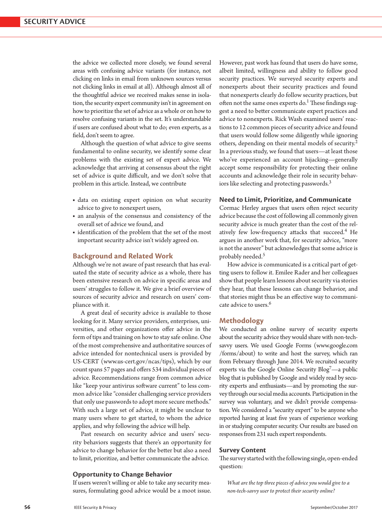the advice we collected more closely, we found several areas with confusing advice variants (for instance, not clicking on links in email from unknown sources versus not clicking links in email at all). Although almost all of the thoughtful advice we received makes sense in isolation, the security expert community isn't in agreement on how to prioritize the set of advice as a whole or on how to resolve confusing variants in the set. It's understandable if users are confused about what to do; even experts, as a feld, don't seem to agree.

Although the question of what advice to give seems fundamental to online security, we identify some clear problems with the existing set of expert advice. We acknowledge that arriving at consensus about the right set of advice is quite difficult, and we don't solve that problem in this article. Instead, we contribute

- data on existing expert opinion on what security advice to give to nonexpert users,
- an analysis of the consensus and consistency of the overall set of advice we found, and
- identifcation of the problem that the set of the most important security advice isn't widely agreed on.

#### **Background and Related Work**

Although we're not aware of past research that has evaluated the state of security advice as a whole, there has been extensive research on advice in specifc areas and users' struggles to follow it. We give a brief overview of sources of security advice and research on users' compliance with it.

A great deal of security advice is available to those looking for it. Many service providers, enterprises, universities, and other organizations offer advice in the form of tips and training on how to stay safe online. One of the most comprehensive and authoritative sources of advice intended for nontechnical users is provided by US-CERT (www.us-cert.gov/ncas/tips), which by our count spans 57 pages and offers 534 individual pieces of advice. Recommendations range from common advice like "keep your antivirus sofware current" to less common advice like "consider challenging service providers that only use passwords to adopt more secure methods." With such a large set of advice, it might be unclear to many users where to get started, to whom the advice applies, and why following the advice will help.

Past research on security advice and users' security behaviors suggests that there's an opportunity for advice to change behavior for the beter but also a need to limit, prioritize, and beter communicate the advice.

#### **Opportunity to Change Behavior**

If users weren't willing or able to take any security measures, formulating good advice would be a moot issue. However, past work has found that users do have some, albeit limited, willingness and ability to follow good security practices. We surveyed security experts and nonexperts about their security practices and found that nonexperts clearly do follow security practices, but often not the same ones experts do.<sup>1</sup> These findings suggest a need to better communicate expert practices and advice to nonexperts. Rick Wash examined users' reactions to 12 common pieces of security advice and found that users would follow some diligently while ignoring others, depending on their mental models of security.<sup>2</sup> In a previous study, we found that users—at least those who've experienced an account hijacking—generally accept some responsibility for protecting their online accounts and acknowledge their role in security behaviors like selecting and protecting passwords.<sup>3</sup>

#### **Need to Limit, Prioritize, and Communicate**

Cormac Herley argues that users often reject security advice because the cost of following all commonly given security advice is much greater than the cost of the relatively few low-frequency attacks that succeed.<sup>4</sup> He argues in another work that, for security advice, "more is not the answer" but acknowledges that some advice is probably needed.<sup>5</sup>

How advice is communicated is a critical part of getting users to follow it. Emilee Rader and her colleagues show that people learn lessons about security via stories they hear, that these lessons can change behavior, and that stories might thus be an efective way to communicate advice to users.6

#### **Methodology**

We conducted an online survey of security experts about the security advice they would share with non-techsavvy users. We used Google Forms (www.google.com /forms/about) to write and host the survey, which ran from February through June 2014. We recruited security experts via the Google Online Security Blog<sup>7</sup>—a public blog that is published by Google and widely read by security experts and enthusiasts—and by promoting the survey through our social media accounts. Participation in the survey was voluntary, and we didn't provide compensation. We considered a "security expert" to be anyone who reported having at least fve years of experience working in or studying computer security. Our results are based on responses from 231 such expert respondents.

#### **Survey Content**

The survey started with the following single, open-ended question:

*What are the top three pieces of advice you would give to a non-tech-savvy user to protect their security online?*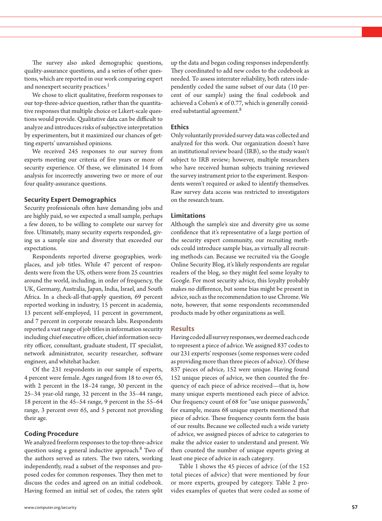The survey also asked demographic questions, quality-assurance questions, and a series of other questions, which are reported in our work comparing expert and nonexpert security practices.<sup>1</sup>

We chose to elicit qualitative, freeform responses to our top-three-advice question, rather than the quantitative responses that multiple choice or Likert-scale questions would provide. Qualitative data can be difficult to analyze and introduces risks of subjective interpretation by experimenters, but it maximized our chances of getting experts' unvarnished opinions.

We received 245 responses to our survey from experts meeting our criteria of fve years or more of security experience. Of these, we eliminated 14 from analysis for incorrectly answering two or more of our four quality-assurance questions.

#### **Security Expert Demographics**

Security professionals often have demanding jobs and are highly paid, so we expected a small sample, perhaps a few dozen, to be willing to complete our survey for free. Ultimately, many security experts responded, giving us a sample size and diversity that exceeded our expectations.

Respondents reported diverse geographies, workplaces, and job titles. While 47 percent of respondents were from the US, others were from 25 countries around the world, including, in order of frequency, the UK, Germany, Australia, Japan, India, Israel, and South Africa. In a check-all-that-apply question, 69 percent reported working in industry, 15 percent in academia, 13 percent self-employed, 11 percent in government, and 7 percent in corporate research labs. Respondents reported a vast range of job titles in information security including chief executive officer, chief information security officer, consultant, graduate student, IT specialist, network administrator, security researcher, sofware engineer, and whitehat hacker.

Of the 231 respondents in our sample of experts, 4 percent were female. Ages ranged from 18 to over 65, with 2 percent in the 18–24 range, 30 percent in the 25–34 year-old range, 32 percent in the 35–44 range, 18 percent in the 45–54 range, 9 percent in the 55–64 range, 3 percent over 65, and 5 percent not providing their age.

#### **Coding Procedure**

We analyzed freeform responses to the top-three-advice question using a general inductive approach.<sup>8</sup> Two of the authors served as raters. The two raters, working independently, read a subset of the responses and proposed codes for common responses. They then met to discuss the codes and agreed on an initial codebook. Having formed an initial set of codes, the raters split

up the data and began coding responses independently. They coordinated to add new codes to the codebook as needed. To assess interrater reliability, both raters independently coded the same subset of our data (10 percent of our sample) using the fnal codebook and achieved a Cohen's  $\kappa$  of 0.77, which is generally considered substantial agreement.<sup>8</sup>

#### **Ethics**

Only voluntarily provided survey data was collected and analyzed for this work. Our organization doesn't have an institutional review board (IRB), so the study wasn't subject to IRB review; however, multiple researchers who have received human subjects training reviewed the survey instrument prior to the experiment. Respondents weren't required or asked to identify themselves. Raw survey data access was restricted to investigators on the research team.

#### **Limitations**

Although the sample's size and diversity give us some confdence that it's representative of a large portion of the security expert community, our recruiting methods could introduce sample bias, as virtually all recruiting methods can. Because we recruited via the Google Online Security Blog, it's likely respondents are regular readers of the blog, so they might feel some loyalty to Google. For most security advice, this loyalty probably makes no diference, but some bias might be present in advice, such as the recommendation to use Chrome. We note, however, that some respondents recommended products made by other organizations as well.

#### **Results**

Having coded all survey responses, we deemed each code to represent a piece of advice. We assigned 837 codes to our 231 experts' responses (some responses were coded as providing more than three pieces of advice). Of these 837 pieces of advice, 152 were unique. Having found 152 unique pieces of advice, we then counted the frequency of each piece of advice received—that is, how many unique experts mentioned each piece of advice. Our frequency count of 68 for "use unique passwords," for example, means 68 unique experts mentioned that piece of advice. These frequency counts form the basis of our results. Because we collected such a wide variety of advice, we assigned pieces of advice to categories to make the advice easier to understand and present. We then counted the number of unique experts giving at least one piece of advice in each category.

Table 1 shows the 45 pieces of advice (of the 152 total pieces of advice) that were mentioned by four or more experts, grouped by category. Table 2 provides examples of quotes that were coded as some of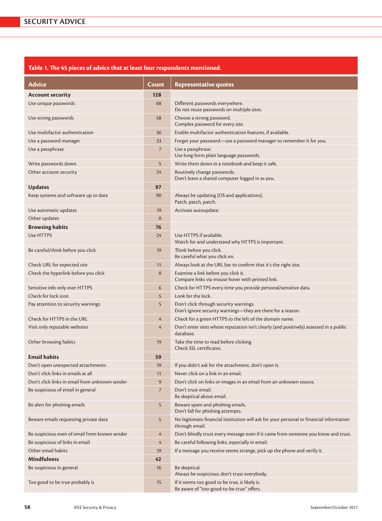## **Table 1. Te 45 pieces of advice that at least four respondents mentioned.**

| <b>Advice</b>                                  | Count           | <b>Representative quotes</b>                                                                              |
|------------------------------------------------|-----------------|-----------------------------------------------------------------------------------------------------------|
| <b>Account security</b>                        | 128             |                                                                                                           |
| Use unique passwords                           | 68              | Different passwords everywhere.<br>Do not reuse passwords on multiple sites.                              |
| Use strong passwords                           | 58              | Choose a strong password.<br>Complex password for every site.                                             |
| Use multifactor authentication                 | 36              | Enable multifactor authentication features, if available.                                                 |
| Use a password manager                         | 33              | Forget your password—use a password manager to remember it for you.                                       |
| Use a passphrase                               | $7\overline{ }$ | Use a passphrase.<br>Use long-form plain language passwords.                                              |
| Write passwords down                           | 5               | Write them down in a notebook and keep it safe.                                                           |
| Other account security                         | 24              | Routinely change passwords.<br>Don't leave a shared computer logged in as you.                            |
| <b>Updates</b>                                 | 97              |                                                                                                           |
| Keep systems and software up to date           | 90              | Always be updating (OS and applications).<br>Patch, patch, patch.                                         |
| Use automatic updates                          | 19              | Activate autoupdate.                                                                                      |
| Other updates                                  | $\mathbf{0}$    |                                                                                                           |
| <b>Browsing habits</b>                         | 76              |                                                                                                           |
| Use HTTPS                                      | 24              | Use HTTPS if available.<br>Watch for and understand why HTTPS is important.                               |
| Be careful/think before you click              | 19              | Think before you click.<br>Be careful what you click on.                                                  |
| Check URL for expected site                    | 11              | Always look at the URL bar to confirm that it's the right site.                                           |
| Check the hyperlink before you click           | 8               | Examine a link before you click it.<br>Compare links via mouse hover with printed link.                   |
| Sensitive info only over HTTPS                 | 6               | Check for HTTPS every time you provide personal/sensitive data.                                           |
| Check for lock icon                            | 5               | Look for the lock.                                                                                        |
| Pay attention to security warnings             | 5               | Don't click through security warnings.<br>Don't ignore security warnings-they are there for a reason.     |
| Check for HTTPS in the URL                     | $\overline{4}$  | Check for a green HTTPS to the left of the domain name.                                                   |
| Visit only reputable websites                  | 4               | Don't enter sites whose reputation isn't clearly (and positively) assessed in a public<br>database.       |
| Other browsing habits                          | 19              | Take the time to read before clicking.<br>Check SSL certificates.                                         |
| <b>Email habits</b>                            | 59              |                                                                                                           |
| Don't open unexpected attachments              | 19              | If you didn't ask for the attachment, don't open it.                                                      |
| Don't click links in emails at all             | 11              | Never click on a link in an email.                                                                        |
| Don't click links in email from unknown sender | $\overline{9}$  | Don't click on links or images in an email from an unknown source.                                        |
| Be suspicious of email in general              | 7               | Don't trust email.<br>Be skeptical about email.                                                           |
| Be alert for phishing emails                   | 5               | Beware spam and phishing emails.<br>Don't fall for phishing attempts.                                     |
| Beware emails requesting private data          | 5               | No legitimate financial institution will ask for your personal or financial information<br>through email. |
| Be suspicious even of email from known sender  | $\overline{4}$  | Don't blindly trust every message even if it came from someone you know and trust.                        |
| Be suspicious of links in email                | $\overline{4}$  | Be careful following links, especially in email.                                                          |
| Other email habits                             | 19              | If a message you receive seems strange, pick up the phone and verify it.                                  |
| <b>Mindfulness</b>                             | 42              |                                                                                                           |
| Be suspicious in general                       | 16              | Be skeptical.<br>Always be suspicious; don't trust everybody.                                             |
| Too good to be true probably is                | 15              | If it seems too good to be true, it likely is.<br>Be aware of "too-good-to-be-true" offers.               |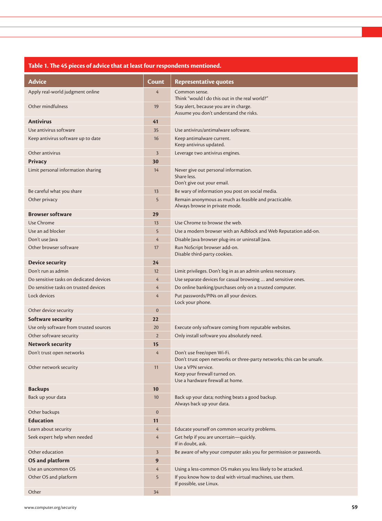### **Table 1. Te 45 pieces of advice that at least four respondents mentioned.**

| <b>Advice</b>                           |                |                                                                                                      |
|-----------------------------------------|----------------|------------------------------------------------------------------------------------------------------|
|                                         | Count          | <b>Representative quotes</b>                                                                         |
| Apply real-world judgment online        | $\overline{4}$ | Common sense.<br>Think "would I do this out in the real world?"                                      |
| Other mindfulness                       | 19             | Stay alert, because you are in charge.<br>Assume you don't understand the risks.                     |
| <b>Antivirus</b>                        | 41             |                                                                                                      |
| Use antivirus software                  | 35             | Use antivirus/antimalware software.                                                                  |
| Keep antivirus software up to date      | 16             | Keep antimalware current.<br>Keep antivirus updated.                                                 |
| Other antivirus                         | $\overline{3}$ | Leverage two antivirus engines.                                                                      |
| <b>Privacy</b>                          | 30             |                                                                                                      |
| Limit personal information sharing      | 14             | Never give out personal information.<br>Share less.<br>Don't give out your email.                    |
| Be careful what you share               | 13             | Be wary of information you post on social media.                                                     |
| Other privacy                           | 5              | Remain anonymous as much as feasible and practicable.<br>Always browse in private mode.              |
| <b>Browser software</b>                 | 29             |                                                                                                      |
| Use Chrome                              | 13             | Use Chrome to browse the web.                                                                        |
| Use an ad blocker                       | 5              | Use a modern browser with an Adblock and Web Reputation add-on.                                      |
| Don't use Java                          | $\overline{4}$ | Disable Java browser plug-ins or uninstall Java.                                                     |
| Other browser software                  | 17             | Run NoScript browser add-on.<br>Disable third-party cookies.                                         |
| <b>Device security</b>                  | 24             |                                                                                                      |
| Don't run as admin                      | 12             | Limit privileges. Don't log in as an admin unless necessary.                                         |
| Do sensitive tasks on dedicated devices | $\overline{4}$ | Use separate devices for casual browsing  and sensitive ones.                                        |
| Do sensitive tasks on trusted devices   | $\overline{4}$ | Do online banking/purchases only on a trusted computer.                                              |
| Lock devices                            | $\overline{4}$ | Put passwords/PINs on all your devices.<br>Lock your phone.                                          |
| Other device security                   | $\mathbf{0}$   |                                                                                                      |
| Software security                       | 22             |                                                                                                      |
| Use only software from trusted sources  | 20             | Execute only software coming from reputable websites.                                                |
| Other software security                 | $\overline{2}$ | Only install software you absolutely need.                                                           |
| <b>Network security</b>                 | 15             |                                                                                                      |
| Don't trust open networks               | $\overline{4}$ | Don't use free/open Wi-Fi.<br>Don't trust open networks or three-party networks; this can be unsafe. |
| Other network security                  | 11             | Use a VPN service.<br>Keep your firewall turned on.<br>Use a hardware firewall at home.              |
| <b>Backups</b>                          | 10             |                                                                                                      |
| Back up your data                       | 10             | Back up your data; nothing beats a good backup.<br>Always back up your data.                         |
| Other backups                           | $\mathbf{0}$   |                                                                                                      |
| <b>Education</b>                        | 11             |                                                                                                      |
| Learn about security                    | $\overline{4}$ | Educate yourself on common security problems.                                                        |
| Seek expert help when needed            | $\overline{4}$ | Get help if you are uncertain-quickly.<br>If in doubt, ask.                                          |
| Other education                         | $\overline{3}$ | Be aware of why your computer asks you for permission or passwords.                                  |
| OS and platform                         | 9              |                                                                                                      |
| Use an uncommon OS                      | $\overline{4}$ | Using a less-common OS makes you less likely to be attacked.                                         |
| Other OS and platform                   | 5              | If you know how to deal with virtual machines, use them.<br>If possible, use Linux.                  |
| Other                                   | 34             |                                                                                                      |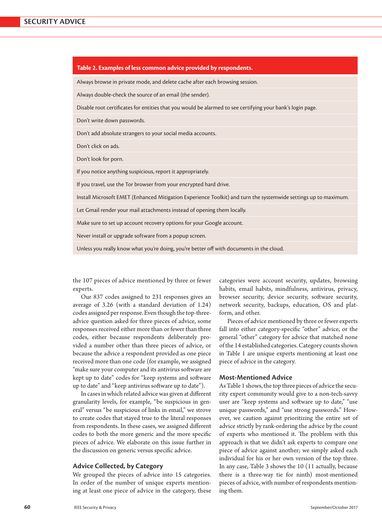| Table 2. Examples of less common advice provided by respondents.                                                |  |  |
|-----------------------------------------------------------------------------------------------------------------|--|--|
| Always browse in private mode, and delete cache after each browsing session.                                    |  |  |
| Always double-check the source of an email (the sender).                                                        |  |  |
| Disable root certificates for entities that you would be alarmed to see certifying your bank's login page.      |  |  |
| Don't write down passwords.                                                                                     |  |  |
| Don't add absolute strangers to your social media accounts.                                                     |  |  |
| Don't click on ads.                                                                                             |  |  |
| Don't look for porn.                                                                                            |  |  |
| If you notice anything suspicious, report it appropriately.                                                     |  |  |
| If you travel, use the Tor browser from your encrypted hard drive.                                              |  |  |
| Install Microsoft EMET (Enhanced Mitigation Experience Toolkit) and turn the systemwide settings up to maximum. |  |  |
| Let Gmail render your mail attachments instead of opening them locally.                                         |  |  |
| Make sure to set up account recovery options for your Google account.                                           |  |  |
| Never install or upgrade software from a popup screen.                                                          |  |  |
| Unless you really know what you're doing, you're better off with documents in the cloud.                        |  |  |

the 107 pieces of advice mentioned by three or fewer experts.

Our 837 codes assigned to 231 responses gives an average of 3.26 (with a standard deviation of 1.24) codes assigned per response. Even though the top-threeadvice question asked for three pieces of advice, some responses received either more than or fewer than three codes, either because respondents deliberately provided a number other than three pieces of advice, or because the advice a respondent provided as one piece received more than one code (for example, we assigned "make sure your computer and its antivirus sofware are kept up to date" codes for "keep systems and sofware up to date" and "keep antivirus software up to date").

In cases in which related advice was given at diferent granularity levels, for example, "be suspicious in general" versus "be suspicious of links in email," we strove to create codes that stayed true to the literal responses from respondents. In these cases, we assigned diferent codes to both the more generic and the more specifc pieces of advice. We elaborate on this issue further in the discussion on generic versus specifc advice.

#### **Advice Collected, by Category**

We grouped the pieces of advice into 15 categories. In order of the number of unique experts mentioning at least one piece of advice in the category, these categories were account security, updates, browsing habits, email habits, mindfulness, antivirus, privacy, browser security, device security, software security, network security, backups, education, OS and platform, and other.

Pieces of advice mentioned by three or fewer experts fall into either category-specifc "other" advice, or the general "other" category for advice that matched none of the 14 established categories. Category counts shown in Table 1 are unique experts mentioning at least one piece of advice in the category.

#### **Most-Mentioned Advice**

As Table 1 shows, the top three pieces of advice the security expert community would give to a non-tech-savvy user are "keep systems and software up to date," "use unique passwords," and "use strong passwords." However, we caution against prioritizing the entire set of advice strictly by rank-ordering the advice by the count of experts who mentioned it. The problem with this approach is that we didn't ask experts to compare one piece of advice against another; we simply asked each individual for his or her own version of the top three. In any case, Table 3 shows the 10 (11 actually, because there is a three-way tie for ninth) most-mentioned pieces of advice, with number of respondents mentioning them.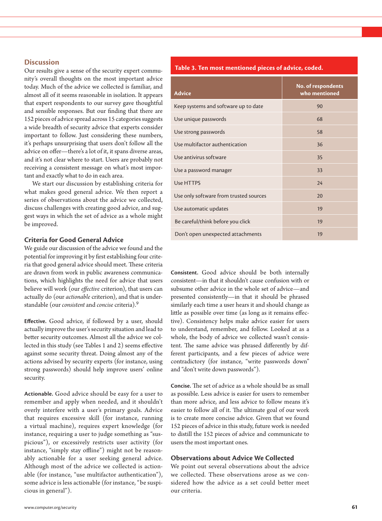#### **Discussion**

Our results give a sense of the security expert community's overall thoughts on the most important advice today. Much of the advice we collected is familiar, and almost all of it seems reasonable in isolation. It appears that expert respondents to our survey gave thoughtful and sensible responses. But our fnding that there are 152 pieces of advice spread across 15 categories suggests a wide breadth of security advice that experts consider important to follow. Just considering these numbers, it's perhaps unsurprising that users don't follow all the advice on ofer—there's a lot of it, it spans diverse areas, and it's not clear where to start. Users are probably not receiving a consistent message on what's most important and exactly what to do in each area.

We start our discussion by establishing criteria for what makes good general advice. We then report a series of observations about the advice we collected, discuss challenges with creating good advice, and suggest ways in which the set of advice as a whole might be improved.

#### **Criteria for Good General Advice**

We guide our discussion of the advice we found and the potential for improving it by frst establishing four criteria that good general advice should meet. These criteria are drawn from work in public awareness communications, which highlights the need for advice that users believe will work (our *efective* criterion), that users can actually do (our *actionable* criterion), and that is understandable (our *consistent* and *concise* criteria).9

**Efective.** Good advice, if followed by a user, should actually improve the user's security situation and lead to better security outcomes. Almost all the advice we collected in this study (see Tables 1 and 2) seems efective against some security threat. Doing almost any of the actions advised by security experts (for instance, using strong passwords) should help improve users' online security.

**Actionable.** Good advice should be easy for a user to remember and apply when needed, and it shouldn't overly interfere with a user's primary goals. Advice that requires excessive skill (for instance, running a virtual machine), requires expert knowledge (for instance, requiring a user to judge something as "suspicious"), or excessively restricts user activity (for instance, "simply stay offline") might not be reasonably actionable for a user seeking general advice. Although most of the advice we collected is actionable (for instance, "use multifactor authentication"), some advice is less actionable (for instance, "be suspicious in general").

#### **Table 3. Ten most mentioned pieces of advice, coded.**

| <b>Advice</b>                          | <b>No. of respondents</b><br>who mentioned |
|----------------------------------------|--------------------------------------------|
| Keep systems and software up to date   | 90                                         |
| Use unique passwords                   | 68                                         |
| Use strong passwords                   | 58                                         |
| Use multifactor authentication         | 36                                         |
| Use antivirus software                 | 35                                         |
| Use a password manager                 | 33                                         |
| Use HTTPS                              | 24                                         |
| Use only software from trusted sources | 20                                         |
| Use automatic updates                  | 19                                         |
| Be careful/think before you click      | 19                                         |
| Don't open unexpected attachments      | 19                                         |

**Consistent.** Good advice should be both internally consistent—in that it shouldn't cause confusion with or subsume other advice in the whole set of advice—and presented consistently—in that it should be phrased similarly each time a user hears it and should change as litle as possible over time (as long as it remains efective). Consistency helps make advice easier for users to understand, remember, and follow. Looked at as a whole, the body of advice we collected wasn't consistent. The same advice was phrased differently by different participants, and a few pieces of advice were contradictory (for instance, "write passwords down" and "don't write down passwords").

**Concise.** The set of advice as a whole should be as small as possible. Less advice is easier for users to remember than more advice, and less advice to follow means it's easier to follow all of it. The ultimate goal of our work is to create more concise advice. Given that we found 152 pieces of advice in this study, future work is needed to distill the 152 pieces of advice and communicate to users the most important ones.

#### **Observations about Advice We Collected**

We point out several observations about the advice we collected. These observations arose as we considered how the advice as a set could better meet our criteria.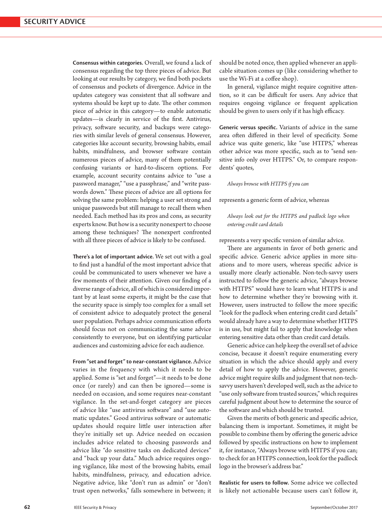**Consensus within categories.** Overall, we found a lack of consensus regarding the top three pieces of advice. But looking at our results by category, we fnd both pockets of consensus and pockets of divergence. Advice in the updates category was consistent that all sofware and systems should be kept up to date. The other common piece of advice in this category—to enable automatic updates—is clearly in service of the frst. Antivirus, privacy, sofware security, and backups were categories with similar levels of general consensus. However, categories like account security, browsing habits, email habits, mindfulness, and browser software contain numerous pieces of advice, many of them potentially confusing variants or hard-to-discern options. For example, account security contains advice to "use a password manager," "use a passphrase," and "write passwords down." These pieces of advice are all options for solving the same problem: helping a user set strong and unique passwords but still manage to recall them when needed. Each method has its pros and cons, as security experts know. But how is a security nonexpert to choose among these techniques? The nonexpert confronted with all three pieces of advice is likely to be confused.

**Tere's a lot of important advice.** We set out with a goal to fnd just a handful of the most important advice that could be communicated to users whenever we have a few moments of their atention. Given our fnding of a diverse range of advice, all of which is considered important by at least some experts, it might be the case that the security space is simply too complex for a small set of consistent advice to adequately protect the general user population. Perhaps advice communication efforts should focus not on communicating the same advice consistently to everyone, but on identifying particular audiences and customizing advice for each audience.

**From "set and forget" to near-constant vigilance.** Advice varies in the frequency with which it needs to be applied. Some is "set and forget"—it needs to be done once (or rarely) and can then be ignored—some is needed on occasion, and some requires near-constant vigilance. In the set-and-forget category are pieces of advice like "use antivirus sofware" and "use automatic updates." Good antivirus sofware or automatic updates should require litle user interaction afer they're initially set up. Advice needed on occasion includes advice related to choosing passwords and advice like "do sensitive tasks on dedicated devices" and "back up your data." Much advice requires ongoing vigilance, like most of the browsing habits, email habits, mindfulness, privacy, and education advice. Negative advice, like "don't run as admin" or "don't trust open networks," falls somewhere in between; it

should be noted once, then applied whenever an applicable situation comes up (like considering whether to use the Wi-Fi at a coffee shop).

In general, vigilance might require cognitive atention, so it can be difficult for users. Any advice that requires ongoing vigilance or frequent application should be given to users only if it has high efficacy.

**Generic versus specific.** Variants of advice in the same area often differed in their level of specificity. Some advice was quite generic, like "use HTPS," whereas other advice was more specifc, such as to "send sensitive info only over HTPS." Or, to compare respondents' quotes,

*Always browse with HTPS if you can*

represents a generic form of advice, whereas

*Always look out for the HTPS and padlock logo when entering credit card details*

represents a very specifc version of similar advice.

There are arguments in favor of both generic and specifc advice. Generic advice applies in more situations and to more users, whereas specifc advice is usually more clearly actionable. Non-tech-savvy users instructed to follow the generic advice, "always browse with HTPS" would have to learn what HTPS is and how to determine whether they're browsing with it. However, users instructed to follow the more specifc "look for the padlock when entering credit card details" would already have a way to determine whether HTPS is in use, but might fail to apply that knowledge when entering sensitive data other than credit card details.

Generic advice can help keep the overall set of advice concise, because it doesn't require enumerating every situation in which the advice should apply and every detail of how to apply the advice. However, generic advice might require skills and judgment that non-techsavvy users haven't developed well, such as the advice to "use only sofware from trusted sources," which requires careful judgment about how to determine the source of the software and which should be trusted.

Given the merits of both generic and specifc advice, balancing them is important. Sometimes, it might be possible to combine them by offering the generic advice followed by specifc instructions on how to implement it, for instance, "Always browse with HTPS if you can; to check for an HTPS connection, look for the padlock logo in the browser's address bar."

**Realistic for users to follow.** Some advice we collected is likely not actionable because users can't follow it,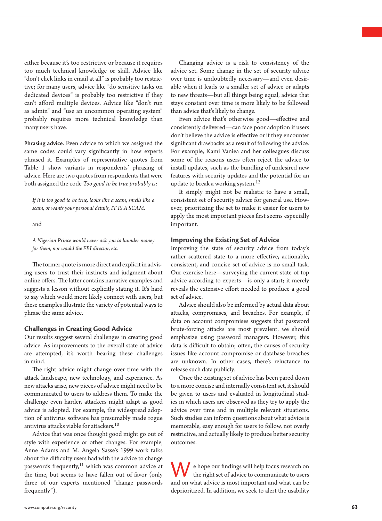either because it's too restrictive or because it requires too much technical knowledge or skill. Advice like "don't click links in email at all" is probably too restrictive; for many users, advice like "do sensitive tasks on dedicated devices" is probably too restrictive if they can't aford multiple devices. Advice like "don't run as admin" and "use an uncommon operating system" probably requires more technical knowledge than many users have.

**Phrasing advice.** Even advice to which we assigned the same codes could vary signifcantly in how experts phrased it. Examples of representative quotes from Table 1 show variants in respondents' phrasing of advice. Here are two quotes from respondents that were both assigned the code *Too good to be true probably is*:

*If it is too good to be true, looks like a scam, smells like a scam, or wants your personal details, IT IS A SCAM.*

and

*A Nigerian Prince would never ask you to launder money for them, nor would the FBI director, etc.*

The former quote is more direct and explicit in advising users to trust their instincts and judgment about online offers. The latter contains narrative examples and suggests a lesson without explicitly stating it. It's hard to say which would more likely connect with users, but these examples illustrate the variety of potential ways to phrase the same advice.

#### **Challenges in Creating Good Advice**

Our results suggest several challenges in creating good advice. As improvements to the overall state of advice are atempted, it's worth bearing these challenges in mind.

The right advice might change over time with the atack landscape, new technology, and experience. As new atacks arise, new pieces of advice might need to be communicated to users to address them. To make the challenge even harder, atackers might adapt as good advice is adopted. For example, the widespread adoption of antivirus sofware has presumably made rogue antivirus attacks viable for attackers.<sup>10</sup>

Advice that was once thought good might go out of style with experience or other changes. For example, Anne Adams and M. Angela Sasse's 1999 work talks about the difficulty users had with the advice to change passwords frequently,<sup>11</sup> which was common advice at the time, but seems to have fallen out of favor (only three of our experts mentioned "change passwords frequently").

Changing advice is a risk to consistency of the advice set. Some change in the set of security advice over time is undoubtedly necessary—and even desirable when it leads to a smaller set of advice or adapts to new threats—but all things being equal, advice that stays constant over time is more likely to be followed than advice that's likely to change.

Even advice that's otherwise good—efective and consistently delivered—can face poor adoption if users don't believe the advice is efective or if they encounter signifcant drawbacks as a result of following the advice. For example, Kami Vaniea and her colleagues discuss some of the reasons users often reject the advice to install updates, such as the bundling of undesired new features with security updates and the potential for an update to break a working system.<sup>12</sup>

It simply might not be realistic to have a small, consistent set of security advice for general use. However, prioritizing the set to make it easier for users to apply the most important pieces frst seems especially important.

#### **Improving the Existing Set of Advice**

Improving the state of security advice from today's rather scattered state to a more effective, actionable, consistent, and concise set of advice is no small task. Our exercise here—surveying the current state of top advice according to experts—is only a start; it merely reveals the extensive efort needed to produce a good set of advice.

Advice should also be informed by actual data about atacks, compromises, and breaches. For example, if data on account compromises suggests that password brute-forcing atacks are most prevalent, we should emphasize using password managers. However, this data is difficult to obtain; often, the causes of security issues like account compromise or database breaches are unknown. In other cases, there's reluctance to release such data publicly.

Once the existing set of advice has been pared down to a more concise and internally consistent set, it should be given to users and evaluated in longitudinal studies in which users are observed as they try to apply the advice over time and in multiple relevant situations. Such studies can inform questions about what advice is memorable, easy enough for users to follow, not overly restrictive, and actually likely to produce better security outcomes.

We hope our findings will help focus research on the right set of advice to communicate to users and on what advice is most important and what can be deprioritized. In addition, we seek to alert the usability